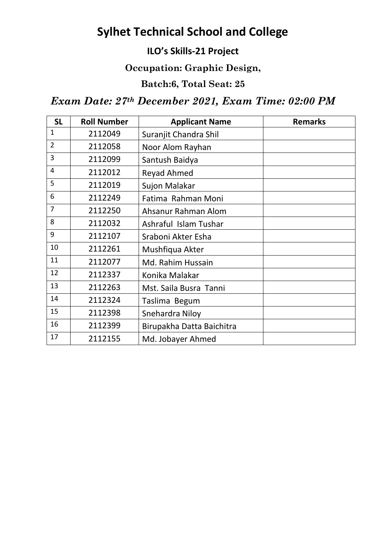# **Sylhet Technical School and College**

## **ILO's Skills-21 Project**

#### **Occupation: Graphic Design,**

### **Batch:6, Total Seat: 25**

## *Exam Date: 27th December 2021, Exam Time: 02:00 PM*

| <b>SL</b>      | <b>Roll Number</b> | <b>Applicant Name</b>     | <b>Remarks</b> |
|----------------|--------------------|---------------------------|----------------|
| $\mathbf{1}$   | 2112049            | Suranjit Chandra Shil     |                |
| $\overline{2}$ | 2112058            | Noor Alom Rayhan          |                |
| 3              | 2112099            | Santush Baidya            |                |
| $\overline{4}$ | 2112012            | <b>Reyad Ahmed</b>        |                |
| 5              | 2112019            | Sujon Malakar             |                |
| 6              | 2112249            | Fatima Rahman Moni        |                |
| $\overline{7}$ | 2112250            | Ahsanur Rahman Alom       |                |
| 8              | 2112032            | Ashraful Islam Tushar     |                |
| 9              | 2112107            | Sraboni Akter Esha        |                |
| 10             | 2112261            | Mushfiqua Akter           |                |
| 11             | 2112077            | Md. Rahim Hussain         |                |
| 12             | 2112337            | Konika Malakar            |                |
| 13             | 2112263            | Mst. Saila Busra Tanni    |                |
| 14             | 2112324            | Taslima Begum             |                |
| 15             | 2112398            | Snehardra Niloy           |                |
| 16             | 2112399            | Birupakha Datta Baichitra |                |
| 17             | 2112155            | Md. Jobayer Ahmed         |                |